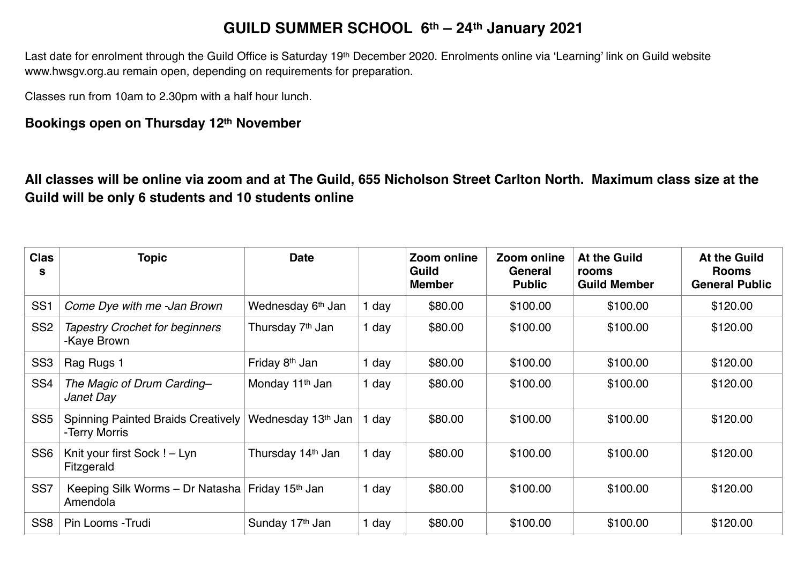## **GUILD SUMMER SCHOOL 6th – 24th January 2021**

Last date for enrolment through the Guild Office is Saturday 19<sup>th</sup> December 2020. Enrolments online via 'Learning' link on Guild website www.hwsgv.org.au remain open, depending on requirements for preparation.

Classes run from 10am to 2.30pm with a half hour lunch.

## **Bookings open on Thursday 12th November**

**All classes will be online via zoom and at The Guild, 655 Nicholson Street Carlton North. Maximum class size at the Guild will be only 6 students and 10 students online**

| <b>Clas</b><br>s | <b>Topic</b>                                               | <b>Date</b>                   |       | Zoom online<br><b>Guild</b><br><b>Member</b> | Zoom online<br>General<br><b>Public</b> | At the Guild<br>rooms<br><b>Guild Member</b> | <b>At the Guild</b><br><b>Rooms</b><br><b>General Public</b> |
|------------------|------------------------------------------------------------|-------------------------------|-------|----------------------------------------------|-----------------------------------------|----------------------------------------------|--------------------------------------------------------------|
| SS <sub>1</sub>  | Come Dye with me -Jan Brown                                | Wednesday 6 <sup>th</sup> Jan | 1 day | \$80.00                                      | \$100.00                                | \$100.00                                     | \$120.00                                                     |
| SS <sub>2</sub>  | <b>Tapestry Crochet for beginners</b><br>-Kaye Brown       | Thursday 7 <sup>th</sup> Jan  | 1 day | \$80.00                                      | \$100.00                                | \$100.00                                     | \$120.00                                                     |
| SS <sub>3</sub>  | Rag Rugs 1                                                 | Friday 8 <sup>th</sup> Jan    | 1 day | \$80.00                                      | \$100.00                                | \$100.00                                     | \$120.00                                                     |
| SS <sub>4</sub>  | The Magic of Drum Carding-<br>Janet Day                    | Monday 11 <sup>th</sup> Jan   | 1 day | \$80.00                                      | \$100.00                                | \$100.00                                     | \$120.00                                                     |
| SS <sub>5</sub>  | <b>Spinning Painted Braids Creatively</b><br>-Terry Morris | Wednesday 13th Jan            | day   | \$80.00                                      | \$100.00                                | \$100.00                                     | \$120.00                                                     |
| SS <sub>6</sub>  | Knit your first Sock ! - Lyn<br>Fitzgerald                 | Thursday 14 <sup>th</sup> Jan | 1 day | \$80.00                                      | \$100.00                                | \$100.00                                     | \$120.00                                                     |
| SS <sub>7</sub>  | Keeping Silk Worms - Dr Natasha<br>Amendola                | Friday 15 <sup>th</sup> Jan   | 1 day | \$80.00                                      | \$100.00                                | \$100.00                                     | \$120.00                                                     |
| SS <sub>8</sub>  | Pin Looms - Trudi                                          | Sunday 17th Jan               | 1 day | \$80.00                                      | \$100.00                                | \$100.00                                     | \$120.00                                                     |